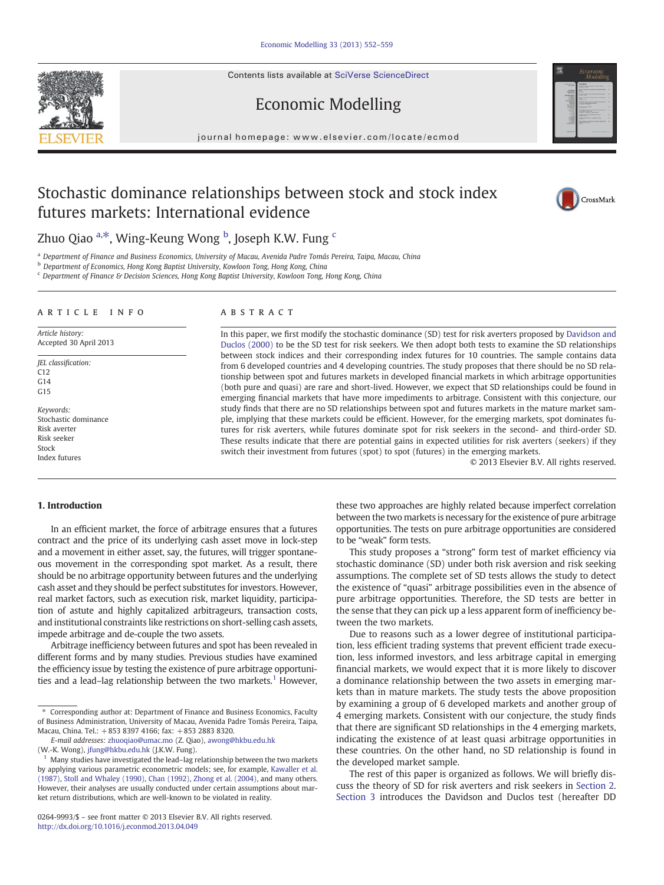Contents lists available at [SciVerse ScienceDirect](http://www.sciencedirect.com/science/journal/02649993)





# Economic Modelling

journal homepage: www.elsevier.com/locate/ecmod

# Stochastic dominance relationships between stock and stock index futures markets: International evidence



## Zhuo Qiao <sup>a,\*</sup>, Wing-Keung Wong <sup>b</sup>, Joseph K.W. Fung <sup>c</sup>

<sup>a</sup> Department of Finance and Business Economics, University of Macau, Avenida Padre Tomás Pereira, Taipa, Macau, China

b Department of Economics, Hong Kong Baptist University, Kowloon Tong, Hong Kong, China

<sup>c</sup> Department of Finance & Decision Sciences, Hong Kong Baptist University, Kowloon Tong, Hong Kong, China

#### article info abstract

Article history: Accepted 30 April 2013

- JEL classification: C12  $C<sub>14</sub>$ G15
- Keywords: Stochastic dominance Risk averter Risk seeker Stock Index futures

In this paper, we first modify the stochastic dominance (SD) test for risk averters proposed by [Davidson and](#page--1-0) [Duclos \(2000\)](#page--1-0) to be the SD test for risk seekers. We then adopt both tests to examine the SD relationships between stock indices and their corresponding index futures for 10 countries. The sample contains data from 6 developed countries and 4 developing countries. The study proposes that there should be no SD relationship between spot and futures markets in developed financial markets in which arbitrage opportunities (both pure and quasi) are rare and short-lived. However, we expect that SD relationships could be found in emerging financial markets that have more impediments to arbitrage. Consistent with this conjecture, our study finds that there are no SD relationships between spot and futures markets in the mature market sample, implying that these markets could be efficient. However, for the emerging markets, spot dominates futures for risk averters, while futures dominate spot for risk seekers in the second- and third-order SD. These results indicate that there are potential gains in expected utilities for risk averters (seekers) if they switch their investment from futures (spot) to spot (futures) in the emerging markets.

© 2013 Elsevier B.V. All rights reserved.

### 1. Introduction

In an efficient market, the force of arbitrage ensures that a futures contract and the price of its underlying cash asset move in lock-step and a movement in either asset, say, the futures, will trigger spontaneous movement in the corresponding spot market. As a result, there should be no arbitrage opportunity between futures and the underlying cash asset and they should be perfect substitutes for investors. However, real market factors, such as execution risk, market liquidity, participation of astute and highly capitalized arbitrageurs, transaction costs, and institutional constraints like restrictions on short-selling cash assets, impede arbitrage and de-couple the two assets.

Arbitrage inefficiency between futures and spot has been revealed in different forms and by many studies. Previous studies have examined the efficiency issue by testing the existence of pure arbitrage opportunities and a lead–lag relationship between the two markets.<sup>1</sup> However,

(W.-K. Wong), [jfung@hkbu.edu.hk](mailto:jfung@hkbu.edu.hk) (J.K.W. Fung).

these two approaches are highly related because imperfect correlation between the two markets is necessary for the existence of pure arbitrage opportunities. The tests on pure arbitrage opportunities are considered to be "weak" form tests.

This study proposes a "strong" form test of market efficiency via stochastic dominance (SD) under both risk aversion and risk seeking assumptions. The complete set of SD tests allows the study to detect the existence of "quasi" arbitrage possibilities even in the absence of pure arbitrage opportunities. Therefore, the SD tests are better in the sense that they can pick up a less apparent form of inefficiency between the two markets.

Due to reasons such as a lower degree of institutional participation, less efficient trading systems that prevent efficient trade execution, less informed investors, and less arbitrage capital in emerging financial markets, we would expect that it is more likely to discover a dominance relationship between the two assets in emerging markets than in mature markets. The study tests the above proposition by examining a group of 6 developed markets and another group of 4 emerging markets. Consistent with our conjecture, the study finds that there are significant SD relationships in the 4 emerging markets, indicating the existence of at least quasi arbitrage opportunities in these countries. On the other hand, no SD relationship is found in the developed market sample.

The rest of this paper is organized as follows. We will briefly discuss the theory of SD for risk averters and risk seekers in [Section 2.](#page-1-0) [Section 3](#page-1-0) introduces the Davidson and Duclos test (hereafter DD

<sup>⁎</sup> Corresponding author at: Department of Finance and Business Economics, Faculty of Business Administration, University of Macau, Avenida Padre Tomás Pereira, Taipa, Macau, China. Tel.: +853 8397 4166; fax: +853 2883 8320.

E-mail addresses: [zhuoqiao@umac.mo](mailto:zhuoqiao@umac.mo) (Z. Qiao), [awong@hkbu.edu.hk](mailto:awong@hkbu.edu.hk)

<sup>&</sup>lt;sup>1</sup> Many studies have investigated the lead–lag relationship between the two markets by applying various parametric econometric models; see, for example, [Kawaller et al.](#page--1-0) [\(1987\)](#page--1-0), [Stoll and Whaley \(1990\),](#page--1-0) [Chan \(1992\)](#page--1-0), [Zhong et al. \(2004\)](#page--1-0), and many others. However, their analyses are usually conducted under certain assumptions about market return distributions, which are well-known to be violated in reality.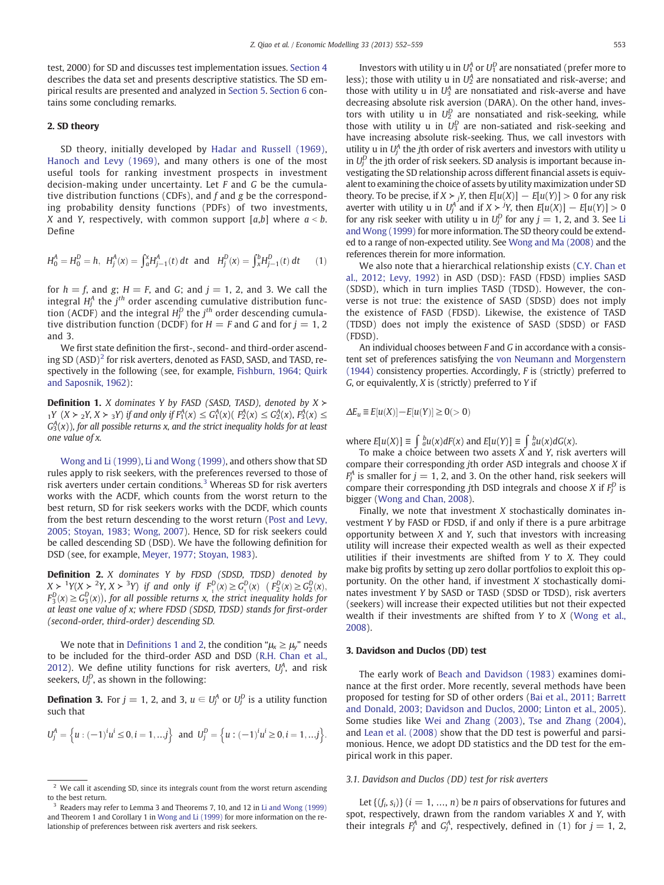<span id="page-1-0"></span>test, 2000) for SD and discusses test implementation issues. [Section 4](#page--1-0) describes the data set and presents descriptive statistics. The SD empirical results are presented and analyzed in [Section 5](#page--1-0). [Section 6](#page--1-0) contains some concluding remarks.

#### 2. SD theory

SD theory, initially developed by [Hadar and Russell \(1969\),](#page--1-0) [Hanoch and Levy \(1969\)](#page--1-0), and many others is one of the most useful tools for ranking investment prospects in investment decision-making under uncertainty. Let F and G be the cumulative distribution functions (CDFs), and f and g be the corresponding probability density functions (PDFs) of two investments, X and Y, respectively, with common support  $[a,b]$  where  $a < b$ . Define

$$
H_0^A = H_0^D = h, \ H_j^A(x) = \int_a^x H_{j-1}^A(t) dt \ \text{ and } \ H_j^D(x) = \int_x^b H_{j-1}^D(t) dt \tag{1}
$$

for  $h = f$ , and g;  $H = F$ , and G; and  $j = 1, 2$ , and 3. We call the integral  $H_{\!j}^A$  the  $j^{th}$  order ascending cumulative distribution function (ACDF) and the integral  $H_j^D$  the  $j^{th}$  order descending cumulative distribution function (DCDF) for  $H = F$  and G and for  $i = 1, 2$ and 3.

We first state definition the first-, second- and third-order ascending SD  $(ASD)^2$  for risk averters, denoted as FASD, SASD, and TASD, respectively in the following (see, for example, [Fishburn, 1964; Quirk](#page--1-0) [and Saposnik, 1962](#page--1-0)):

**Definition 1.** X dominates Y by FASD (SASD, TASD), denoted by  $X \succ$  $_1Y$  (X ≻  $_2Y$ , X ≻  $_3Y$ ) if and only if  $F_1^A(x)$  ≤  $G_1^A(x)$ ( $F_2^A(x)$  ≤  $G_2^A(x)$ ,  $F_3^A(x)$  ≤  $G_3^{A}(x)$ ), for all possible returns x, and the strict inequality holds for at least one value of x.

[Wong and Li \(1999\),](#page--1-0) [Li and Wong \(1999\)](#page--1-0), and others show that SD rules apply to risk seekers, with the preferences reversed to those of risk averters under certain conditions.<sup>3</sup> Whereas SD for risk averters works with the ACDF, which counts from the worst return to the best return, SD for risk seekers works with the DCDF, which counts from the best return descending to the worst return [\(Post and Levy,](#page--1-0) [2005; Stoyan, 1983; Wong, 2007](#page--1-0)). Hence, SD for risk seekers could be called descending SD (DSD). We have the following definition for DSD (see, for example, [Meyer, 1977; Stoyan, 1983\)](#page--1-0).

**Definition 2.** X dominates Y by FDSD (SDSD, TDSD) denoted by  $X > 1$   $Y(X > 2Y, X > 3Y)$  if and only if  $F_1^D(x) \ge G_1^D(x)$   $(F_2^D(x) \ge G_2^D(x),$  $F_3^D(x) \ge G_3^D(x)$ , for all possible returns x, the strict inequality holds for at least one value of x; where FDSD (SDSD, TDSD) stands for first-order (second-order, third-order) descending SD.

We note that in Definitions 1 and 2, the condition " $\mu_{x} \ge \mu_{y}$ " needs to be included for the third-order ASD and DSD ([R.H. Chan et al.,](#page--1-0) [2012\)](#page--1-0). We define utility functions for risk averters,  $U_j^A$ , and risk seekers,  $U_j^D$ , as shown in the following:

**Defination 3.** For  $j = 1, 2$ , and 3,  $u \in U_j^A$  or  $U_j^D$  is a utility function such that

$$
U_j^A = \left\{ u : (-1)^i u^i \le 0, i = 1, ...\, j \right\} \text{ and } U_j^D = \left\{ u : (-1)^i u^i \ge 0, i = 1, ...\, j \right\}.
$$

Investors with utility u in  $U_1^A$  or  $U_1^D$  are nonsatiated (prefer more to less); those with utility u in  $U_2^A$  are nonsatiated and risk-averse; and those with utility u in  $U_3^A$  are nonsatiated and risk-averse and have decreasing absolute risk aversion (DARA). On the other hand, investors with utility u in  $U_2^D$  are nonsatiated and risk-seeking, while those with utility u in  $U_3^D$  are non-satiated and risk-seeking and have increasing absolute risk-seeking. Thus, we call investors with utility u in  $U_j^A$  the jth order of risk averters and investors with utility u in  $U_j^D$  the jth order of risk seekers. SD analysis is important because investigating the SD relationship across different financial assets is equivalent to examining the choice of assets by utility maximization under SD theory. To be precise, if  $X \succ_i Y$ , then  $E[u(X)] - E[u(Y)] > 0$  for any risk averter with utility u in  $U_j^A$  and if  $X \succ jY$ , then  $E[u(X)] - E[u(Y)] > 0$ for any risk seeker with utility u in  $U_j^D$  for any  $j = 1, 2$ , and 3. See [Li](#page--1-0) [and Wong \(1999\)](#page--1-0) for more information. The SD theory could be extended to a range of non-expected utility. See [Wong and Ma \(2008\)](#page--1-0) and the references therein for more information.

We also note that a hierarchical relationship exists [\(C.Y. Chan et](#page--1-0) [al., 2012; Levy, 1992\)](#page--1-0) in ASD (DSD): FASD (FDSD) implies SASD (SDSD), which in turn implies TASD (TDSD). However, the converse is not true: the existence of SASD (SDSD) does not imply the existence of FASD (FDSD). Likewise, the existence of TASD (TDSD) does not imply the existence of SASD (SDSD) or FASD (FDSD).

An individual chooses between F and G in accordance with a consistent set of preferences satisfying the [von Neumann and Morgenstern](#page--1-0) [\(1944\)](#page--1-0) consistency properties. Accordingly, F is (strictly) preferred to G, or equivalently, X is (strictly) preferred to Y if

$$
\varDelta E_u\equiv E[u(X)]-E[u(Y)]\geq 0(>0)
$$

where  $E[u(X)] \equiv \int_a^b u(x) dF(x)$  and  $E[u(Y)] \equiv \int_a^b u(x) dG(x)$ .

To make a choice between two assets  $\overline{X}$  and  $\overline{Y}$ , risk averters will compare their corresponding jth order ASD integrals and choose X if  $F_j^A$  is smaller for  $j=1, 2$ , and 3. On the other hand, risk seekers will compare their corresponding jth DSD integrals and choose *X* if  $F_j^D$  is bigger [\(Wong and Chan, 2008](#page--1-0)).

Finally, we note that investment  $X$  stochastically dominates investment Y by FASD or FDSD, if and only if there is a pure arbitrage opportunity between  $X$  and  $Y$ , such that investors with increasing utility will increase their expected wealth as well as their expected utilities if their investments are shifted from Y to X. They could make big profits by setting up zero dollar portfolios to exploit this opportunity. On the other hand, if investment X stochastically dominates investment Y by SASD or TASD (SDSD or TDSD), risk averters (seekers) will increase their expected utilities but not their expected wealth if their investments are shifted from Y to X ([Wong et al.,](#page--1-0) [2008\)](#page--1-0).

#### 3. Davidson and Duclos (DD) test

The early work of [Beach and Davidson \(1983\)](#page--1-0) examines dominance at the first order. More recently, several methods have been proposed for testing for SD of other orders ([Bai et al., 2011; Barrett](#page--1-0) [and Donald, 2003; Davidson and Duclos, 2000; Linton et al., 2005](#page--1-0)). Some studies like [Wei and Zhang \(2003\)](#page--1-0), [Tse and Zhang \(2004\),](#page--1-0) and [Lean et al. \(2008\)](#page--1-0) show that the DD test is powerful and parsimonious. Hence, we adopt DD statistics and the DD test for the empirical work in this paper.

#### 3.1. Davidson and Duclos (DD) test for risk averters

Let  $\{(f_i, s_i)\}\ (i = 1, ..., n)$  be *n* pairs of observations for futures and spot, respectively, drawn from the random variables  $X$  and  $Y$ , with their integrals  $F_j^A$  and  $G_j^A$ , respectively, defined in (1) for  $j = 1, 2,$ 

 $2$  We call it ascending SD, since its integrals count from the worst return ascending to the best return.

<sup>3</sup> Readers may refer to Lemma 3 and Theorems 7, 10, and 12 in [Li and Wong \(1999\)](#page--1-0) and Theorem 1 and Corollary 1 in [Wong and Li \(1999\)](#page--1-0) for more information on the relationship of preferences between risk averters and risk seekers.